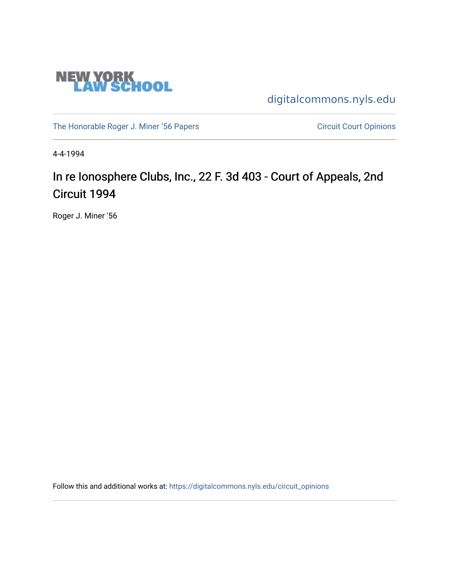

[digitalcommons.nyls.edu](https://digitalcommons.nyls.edu/) 

[The Honorable Roger J. Miner '56 Papers](https://digitalcommons.nyls.edu/miner_papers) Circuit Court Opinions

4-4-1994

# In re Ionosphere Clubs, Inc., 22 F. 3d 403 - Court of Appeals, 2nd Circuit 1994

Roger J. Miner '56

Follow this and additional works at: [https://digitalcommons.nyls.edu/circuit\\_opinions](https://digitalcommons.nyls.edu/circuit_opinions?utm_source=digitalcommons.nyls.edu%2Fcircuit_opinions%2F404&utm_medium=PDF&utm_campaign=PDFCoverPages)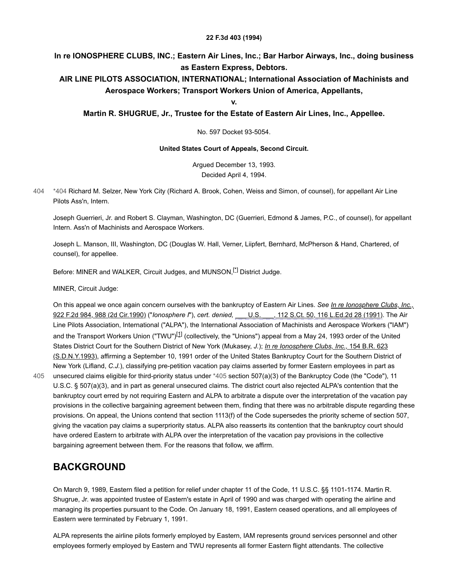#### **22 F.3d 403 (1994)**

#### **In re IONOSPHERE CLUBS, INC.; Eastern Air Lines, Inc.; Bar Harbor Airways, Inc., doing business as Eastern Express, Debtors.**

#### **AIR LINE PILOTS ASSOCIATION, INTERNATIONAL; International Association of Machinists and Aerospace Workers; Transport Workers Union of America, Appellants,**

**v.**

**Martin R. SHUGRUE, Jr., Trustee for the Estate of Eastern Air Lines, Inc., Appellee.**

No. 597 Docket 93-5054.

#### **United States Court of Appeals, Second Circuit.**

<span id="page-1-2"></span>Argued December 13, 1993. Decided April 4, 1994.

<span id="page-1-0"></span>[\\*404](#page-1-0) Richard M. Selzer, New York City (Richard A. Brook, Cohen, Weiss and Simon, of counsel), for appellant Air Line Pilots Ass'n, Intern. [404](#page-1-0)

Joseph Guerrieri, Jr. and Robert S. Clayman, Washington, DC (Guerrieri, Edmond & James, P.C., of counsel), for appellant Intern. Ass'n of Machinists and Aerospace Workers.

Joseph L. Manson, III, Washington, DC (Douglas W. Hall, Verner, Liipfert, Bernhard, McPherson & Hand, Chartered, of counsel), for appellee.

Before: MINER and WALKER, Circuit Judges, and MUNSON,<sup>[\[\\*\]](#page-5-0)</sup> District Judge.

MINER, Circuit Judge:

<span id="page-1-3"></span><span id="page-1-1"></span>[On this appeal we once again concern ourselves with the bankruptcy of Eastern Air Lines.](https://scholar.google.com/scholar_case?case=11009219763567103995&q=93-5054&hl=en&as_sdt=6,31) *See In re Ionosphere Clubs, Inc.,* 922 F.2d 984, 988 (2d Cir.1990) ("*Ionosphere I*"), *cert. denied,* [\\_\\_\\_ U.S. \\_\\_\\_, 112 S.Ct. 50, 116 L.Ed.2d 28 \(1991\).](https://scholar.google.com/scholar_case?about=11611533902419391966&q=93-5054&hl=en&as_sdt=6,31) The Air Line Pilots Association, International ("ALPA"), the International Association of Machinists and Aerospace Workers ("IAM") and the Transport Workers Union ("TWU")<sup>[\[1\]](#page-5-1)</sup> (collectively, the "Unions") appeal from a May 24, 1993 order of the United States District Court for the Southern District of New York (Mukasey, *J.*); *In re Ionosphere Clubs, Inc.,* 154 B.R. 623 [\(S.D.N.Y.1993\), affirming a September 10, 1991 order of the United States Bankruptcy Court for the Southern Distri](https://scholar.google.com/scholar_case?case=4246915819534948948&q=93-5054&hl=en&as_sdt=6,31)ct of New York (Lifland, *C.J.*), classifying pre-petition vacation pay claims asserted by former Eastern employees in part as unsecured claims eligible for third-priority status under [\\*405](#page-1-1) section 507(a)(3) of the Bankruptcy Code (the "Code"), 11

U.S.C. § 507(a)(3), and in part as general unsecured claims. The district court also rejected ALPA's contention that the bankruptcy court erred by not requiring Eastern and ALPA to arbitrate a dispute over the interpretation of the vacation pay provisions in the collective bargaining agreement between them, finding that there was no arbitrable dispute regarding these provisions. On appeal, the Unions contend that section 1113(f) of the Code supersedes the priority scheme of section 507, giving the vacation pay claims a superpriority status. ALPA also reasserts its contention that the bankruptcy court should have ordered Eastern to arbitrate with ALPA over the interpretation of the vacation pay provisions in the collective bargaining agreement between them. For the reasons that follow, we affirm. [405](#page-1-1)

#### **BACKGROUND**

On March 9, 1989, Eastern filed a petition for relief under chapter 11 of the Code, 11 U.S.C. §§ 1101-1174. Martin R. Shugrue, Jr. was appointed trustee of Eastern's estate in April of 1990 and was charged with operating the airline and managing its properties pursuant to the Code. On January 18, 1991, Eastern ceased operations, and all employees of Eastern were terminated by February 1, 1991.

ALPA represents the airline pilots formerly employed by Eastern, IAM represents ground services personnel and other employees formerly employed by Eastern and TWU represents all former Eastern flight attendants. The collective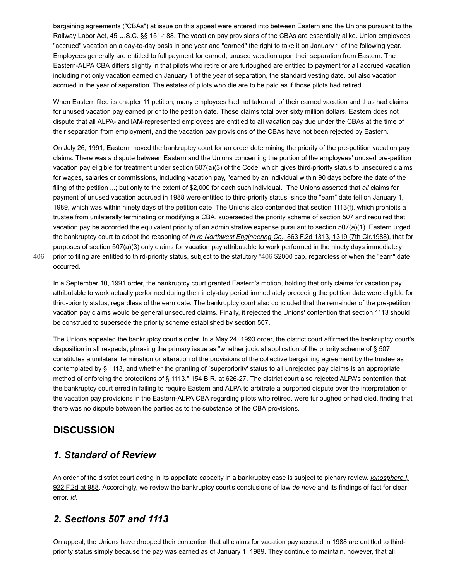bargaining agreements ("CBAs") at issue on this appeal were entered into between Eastern and the Unions pursuant to the Railway Labor Act, 45 U.S.C. §§ 151-188. The vacation pay provisions of the CBAs are essentially alike. Union employees "accrued" vacation on a day-to-day basis in one year and "earned" the right to take it on January 1 of the following year. Employees generally are entitled to full payment for earned, unused vacation upon their separation from Eastern. The Eastern-ALPA CBA differs slightly in that pilots who retire or are furloughed are entitled to payment for all accrued vacation, including not only vacation earned on January 1 of the year of separation, the standard vesting date, but also vacation accrued in the year of separation. The estates of pilots who die are to be paid as if those pilots had retired.

When Eastern filed its chapter 11 petition, many employees had not taken all of their earned vacation and thus had claims for unused vacation pay earned prior to the petition date. These claims total over sixty million dollars. Eastern does not dispute that all ALPA- and IAM-represented employees are entitled to all vacation pay due under the CBAs at the time of their separation from employment, and the vacation pay provisions of the CBAs have not been rejected by Eastern.

On July 26, 1991, Eastern moved the bankruptcy court for an order determining the priority of the pre-petition vacation pay claims. There was a dispute between Eastern and the Unions concerning the portion of the employees' unused pre-petition vacation pay eligible for treatment under section 507(a)(3) of the Code, which gives third-priority status to unsecured claims for wages, salaries or commissions, including vacation pay, "earned by an individual within 90 days before the date of the filing of the petition ...; but only to the extent of \$2,000 for each such individual." The Unions asserted that *all* claims for payment of unused vacation accrued in 1988 were entitled to third-priority status, since the "earn" date fell on January 1, 1989, which was within ninety days of the petition date. The Unions also contended that section 1113(f), which prohibits a trustee from unilaterally terminating or modifying a CBA, superseded the priority scheme of section 507 and required that vacation pay be accorded the equivalent priority of an administrative expense pursuant to section 507(a)(1). Eastern urged the bankruptcy court to adopt the reasoning of *In re Northwest Engineering Co.,* [863 F.2d 1313, 1319 \(7th Cir.1988\),](https://scholar.google.com/scholar_case?case=7225954526954147460&q=93-5054&hl=en&as_sdt=6,31) that for purposes of section 507(a)(3) only claims for vacation pay attributable to work performed in the ninety days immediately prior to filing are entitled to third-priority status, subject to the statutory [\\*406](#page-2-0) \$2000 cap, regardless of when the "earn" date occurred.

[406](#page-2-0)

<span id="page-2-0"></span>In a September 10, 1991 order, the bankruptcy court granted Eastern's motion, holding that only claims for vacation pay attributable to work actually performed during the ninety-day period immediately preceding the petition date were eligible for third-priority status, regardless of the earn date. The bankruptcy court also concluded that the remainder of the pre-petition vacation pay claims would be general unsecured claims. Finally, it rejected the Unions' contention that section 1113 should be construed to supersede the priority scheme established by section 507.

The Unions appealed the bankruptcy court's order. In a May 24, 1993 order, the district court affirmed the bankruptcy court's disposition in all respects, phrasing the primary issue as "whether judicial application of the priority scheme of § 507 constitutes a unilateral termination or alteration of the provisions of the collective bargaining agreement by the trustee as contemplated by § 1113, and whether the granting of `superpriority' status to all unrejected pay claims is an appropriate method of enforcing the protections of § 1113." [154 B.R. at 626-27](https://scholar.google.com/scholar_case?case=4246915819534948948&q=93-5054&hl=en&as_sdt=6,31). The district court also rejected ALPA's contention that the bankruptcy court erred in failing to require Eastern and ALPA to arbitrate a purported dispute over the interpretation of the vacation pay provisions in the Eastern-ALPA CBA regarding pilots who retired, were furloughed or had died, finding that there was no dispute between the parties as to the substance of the CBA provisions.

## **DISCUSSION**

## *1. Standard of Review*

[An order of the district court acting in its appellate capacity in a bankruptcy case is subject to plenary review.](https://scholar.google.com/scholar_case?case=11009219763567103995&q=93-5054&hl=en&as_sdt=6,31) *Ionosphere I,* 922 F.2d at 988. Accordingly, we review the bankruptcy court's conclusions of law *de novo* and its findings of fact for clear error. *Id.*

## *2. Sections 507 and 1113*

On appeal, the Unions have dropped their contention that all claims for vacation pay accrued in 1988 are entitled to thirdpriority status simply because the pay was earned as of January 1, 1989. They continue to maintain, however, that all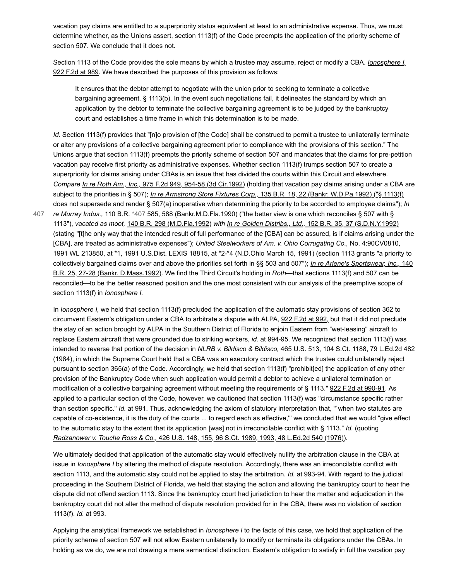vacation pay claims are entitled to a superpriority status equivalent at least to an administrative expense. Thus, we must determine whether, as the Unions assert, section 1113(f) of the Code preempts the application of the priority scheme of section 507. We conclude that it does not.

[Section 1113 of the Code provides the sole means by which a trustee may assume, reject or modify a CBA.](https://scholar.google.com/scholar_case?case=11009219763567103995&q=93-5054&hl=en&as_sdt=6,31) *Ionosphere I,* 922 F.2d at 989. We have described the purposes of this provision as follows:

It ensures that the debtor attempt to negotiate with the union prior to seeking to terminate a collective bargaining agreement. § 1113(b). In the event such negotiations fail, it delineates the standard by which an application by the debtor to terminate the collective bargaining agreement is to be judged by the bankruptcy court and establishes a time frame in which this determination is to be made.

*Id.* Section 1113(f) provides that "[n]o provision of [the Code] shall be construed to permit a trustee to unilaterally terminate or alter any provisions of a collective bargaining agreement prior to compliance with the provisions of this section." The Unions argue that section 1113(f) preempts the priority scheme of section 507 and mandates that the claims for pre-petition vacation pay receive first priority as administrative expenses. Whether section 1113(f) trumps section 507 to create a superpriority for claims arising under CBAs is an issue that has divided the courts within this Circuit and elsewhere. *Compare In re Roth Am., Inc.,* [975 F.2d 949, 954-58 \(3d Cir.1992\)](https://scholar.google.com/scholar_case?case=8469948038128266466&q=93-5054&hl=en&as_sdt=6,31) (holding that vacation pay claims arising under a CBA are subject to the priorities in § 507); *In re Armstrong Store Fixtures Corp.,* 135 B.R. 18, 22 (Bankr. W.D.Pa.1992) ("§ 1113(f) [does not supersede and render § 507\(a\) inoperative when determining the priority to be accorded to employee claims"\);](https://scholar.google.com/scholar_case?case=11136050098463410932&q=93-5054&hl=en&as_sdt=6,31)*In*

<span id="page-3-0"></span>*re Murray Indus.,* 110 B.R. [\\*407](#page-3-0) [585, 588 \(Bankr.M.D.Fla.1990\)](https://scholar.google.com/scholar_case?case=4764917846352410308&q=93-5054&hl=en&as_sdt=6,31) ("the better view is one which reconciles § 507 with § 1113"), *vacated as moot,* [140 B.R. 298 \(M.D.Fla.1992\)](https://scholar.google.com/scholar_case?case=3766427407861334239&q=93-5054&hl=en&as_sdt=6,31) *with In re Golden Distribs., Ltd.,* [152 B.R. 35, 37 \(S.D.N.Y.1992\)](https://scholar.google.com/scholar_case?case=17613301087255373202&q=93-5054&hl=en&as_sdt=6,31) (stating "[t]he only way that the intended result of full performance of the [CBA] can be assured, is if claims arising under the [CBA], are treated as administrative expenses"); *United Steelworkers of Am. v. Ohio Corrugating Co.,* No. 4:90CV0810, 1991 WL 213850, at \*1, 1991 U.S.Dist. LEXIS 18815, at \*2-\*4 (N.D.Ohio March 15, 1991) (section 1113 grants "a priority to [collectively bargained claims over and above the priorities set forth in §§ 503 and 507"\);](https://scholar.google.com/scholar_case?case=9403418108323001113&q=93-5054&hl=en&as_sdt=6,31) *In re Arlene's Sportswear, Inc.,* 140 B.R. 25, 27-28 (Bankr. D.Mass.1992). We find the Third Circuit's holding in *Roth*—that sections 1113(f) and 507 can be reconciled—to be the better reasoned position and the one most consistent with our analysis of the preemptive scope of section 1113(f) in *Ionosphere I.* [407](#page-3-0)

In *Ionosphere I,* we held that section 1113(f) precluded the application of the automatic stay provisions of section 362 to circumvent Eastern's obligation under a CBA to arbitrate a dispute with ALPA, [922 F.2d at 992,](https://scholar.google.com/scholar_case?case=11009219763567103995&q=93-5054&hl=en&as_sdt=6,31) but that it did not preclude the stay of an action brought by ALPA in the Southern District of Florida to enjoin Eastern from "wet-leasing" aircraft to replace Eastern aircraft that were grounded due to striking workers, *id.* at 994-95. We recognized that section 1113(f) was intended to reverse that portion of the decision in *NLRB v. Bildisco & Bildisco,* 465 U.S. 513, 104 S.Ct. 1188, 79 L.Ed.2d 482 [\(1984\), in which the Supreme Court held that a CBA was an executory contract which the trustee could unilaterally reject](https://scholar.google.com/scholar_case?case=1271128742352393652&q=93-5054&hl=en&as_sdt=6,31) pursuant to section 365(a) of the Code. Accordingly, we held that section 1113(f) "prohibit[ed] the application of any other provision of the Bankruptcy Code when such application would permit a debtor to achieve a unilateral termination or modification of a collective bargaining agreement without meeting the requirements of § 1113." [922 F.2d at 990-91.](https://scholar.google.com/scholar_case?case=11009219763567103995&q=93-5054&hl=en&as_sdt=6,31) As applied to a particular section of the Code, however, we cautioned that section 1113(f) was "circumstance specific rather than section specific." *Id.* at 991. Thus, acknowledging the axiom of statutory interpretation that, "`when two statutes are capable of co-existence, it is the duty of the courts ... to regard each as effective,'" we concluded that we would "give effect to the automatic stay to the extent that its application [was] not in irreconcilable conflict with § 1113." *Id.* (quoting *Radzanower v. Touche Ross & Co.,* [426 U.S. 148, 155, 96 S.Ct. 1989, 1993, 48 L.Ed.2d 540 \(1976\)\)](https://scholar.google.com/scholar_case?case=15902630456685553898&q=93-5054&hl=en&as_sdt=6,31).

We ultimately decided that application of the automatic stay would effectively nullify the arbitration clause in the CBA at issue in *Ionosphere I* by altering the method of dispute resolution. Accordingly, there was an irreconcilable conflict with section 1113, and the automatic stay could not be applied to stay the arbitration. *Id.* at 993-94. With regard to the judicial proceeding in the Southern District of Florida, we held that staying the action and allowing the bankruptcy court to hear the dispute did not offend section 1113. Since the bankruptcy court had jurisdiction to hear the matter and adjudication in the bankruptcy court did not alter the method of dispute resolution provided for in the CBA, there was no violation of section 1113(f). *Id.* at 993.

Applying the analytical framework we established in *Ionosphere I* to the facts of this case, we hold that application of the priority scheme of section 507 will not allow Eastern unilaterally to modify or terminate its obligations under the CBAs. In holding as we do, we are not drawing a mere semantical distinction. Eastern's obligation to satisfy in full the vacation pay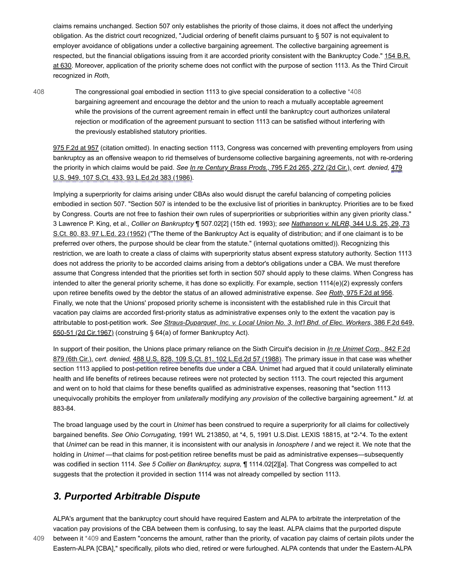claims remains unchanged. Section 507 only establishes the priority of those claims, it does not affect the underlying obligation. As the district court recognized, "Judicial ordering of benefit claims pursuant to § 507 is not equivalent to employer avoidance of obligations under a collective bargaining agreement. The collective bargaining agreement is [respected, but the financial obligations issuing from it are accorded priority consistent with the Bankruptcy Code." 154 B.R.](https://scholar.google.com/scholar_case?case=4246915819534948948&q=93-5054&hl=en&as_sdt=6,31) at 630. Moreover, application of the priority scheme does not conflict with the purpose of section 1113. As the Third Circuit recognized in *Roth,*

[408](#page-4-0)

<span id="page-4-0"></span>The congressional goal embodied in section 1113 to give special consideration to a collective [\\*408](#page-4-0) bargaining agreement and encourage the debtor and the union to reach a mutually acceptable agreement while the provisions of the current agreement remain in effect until the bankruptcy court authorizes unilateral rejection or modification of the agreement pursuant to section 1113 can be satisfied without interfering with the previously established statutory priorities.

[975 F.2d at 957](https://scholar.google.com/scholar_case?case=8469948038128266466&q=93-5054&hl=en&as_sdt=6,31) (citation omitted). In enacting section 1113, Congress was concerned with preventing employers from using bankruptcy as an offensive weapon to rid themselves of burdensome collective bargaining agreements, not with re-ordering the priority in which claims would be paid. *See In re Century Brass Prods.,* [795 F.2d 265, 272 \(2d Cir.\),](https://scholar.google.com/scholar_case?case=17437744102386483287&q=93-5054&hl=en&as_sdt=6,31) *cert. denied,* 479 [U.S. 949, 107 S.Ct. 433, 93 L.Ed.2d 383 \(1986\).](https://scholar.google.com/scholar_case?about=9767772477528528489&q=93-5054&hl=en&as_sdt=6,31)

Implying a superpriority for claims arising under CBAs also would disrupt the careful balancing of competing policies embodied in section 507. "Section 507 is intended to be the exclusive list of priorities in bankruptcy. Priorities are to be fixed by Congress. Courts are not free to fashion their own rules of superpriorities or subpriorities within any given priority class." 3 Lawrence P. King, et al., *Collier on Bankruptcy* ¶ 507.02[2] (15th ed. 1993); *see Nathanson v. NLRB,* 344 U.S. 25, 29, 73 [S.Ct. 80, 83, 97 L.Ed. 23 \(1952\) \("The theme of the Bankruptcy Act is equality of distribution; and if one claimant is to be](https://scholar.google.com/scholar_case?case=235298719132513880&q=93-5054&hl=en&as_sdt=6,31) preferred over others, the purpose should be clear from the statute." (internal quotations omitted)). Recognizing this restriction, we are loath to create a class of claims with superpriority status absent express statutory authority. Section 1113 does not address the priority to be accorded claims arising from a debtor's obligations under a CBA. We must therefore assume that Congress intended that the priorities set forth in section 507 should apply to these claims. When Congress has intended to alter the general priority scheme, it has done so explicitly. For example, section 1114(e)(2) expressly confers upon retiree benefits owed by the debtor the status of an allowed administrative expense. *See Roth,* [975 F.2d at 956](https://scholar.google.com/scholar_case?case=8469948038128266466&q=93-5054&hl=en&as_sdt=6,31). Finally, we note that the Unions' proposed priority scheme is inconsistent with the established rule in this Circuit that vacation pay claims are accorded first-priority status as administrative expenses only to the extent the vacation pay is attributable to post-petition work. *[See Straus-Duparquet, Inc. v. Local Union No. 3, Int'l Bhd. of Elec. Workers,](https://scholar.google.com/scholar_case?case=6002687402455396269&q=93-5054&hl=en&as_sdt=6,31)* 386 F.2d 649, 650-51 (2d Cir.1967) (construing § 64(a) of former Bankruptcy Act).

In support of their position, the Unions place primary reliance on the Sixth Circuit's decision in *In re Unimet Corp.,* 842 F.2d 879 (6th Cir.), *cert. denied,* [488 U.S. 828, 109 S.Ct. 81, 102 L.Ed.2d 57 \(1988\). The primary issue in that case was whether](https://scholar.google.com/scholar_case?case=7441413347565281527&q=93-5054&hl=en&as_sdt=6,31) section 1113 applied to post-petition retiree benefits due under a CBA. Unimet had argued that it could unilaterally eliminate health and life benefits of retirees because retirees were not protected by section 1113. The court rejected this argument and went on to hold that claims for these benefits qualified as administrative expenses, reasoning that "section 1113 unequivocally prohibits the employer from *unilaterally* modifying *any provision* of the collective bargaining agreement." *Id.* at 883-84.

The broad language used by the court in *Unimet* has been construed to require a superpriority for all claims for collectively bargained benefits. *See Ohio Corrugating,* 1991 WL 213850, at \*4, 5, 1991 U.S.Dist. LEXIS 18815, at \*2-\*4. To the extent that *Unimet* can be read in this manner, it is inconsistent with our analysis in *Ionosphere I* and we reject it. We note that the holding in *Unimet* —that claims for post-petition retiree benefits must be paid as administrative expenses—subsequently was codified in section 1114. *See 5 Collier on Bankruptcy, supra,* ¶ 1114.02[2][a]. That Congress was compelled to act suggests that the protection it provided in section 1114 was not already compelled by section 1113.

# *3. Purported Arbitrable Dispute*

<span id="page-4-1"></span>ALPA's argument that the bankruptcy court should have required Eastern and ALPA to arbitrate the interpretation of the vacation pay provisions of the CBA between them is confusing, to say the least. ALPA claims that the purported dispute between it [\\*409](#page-4-1) and Eastern "concerns the amount, rather than the priority, of vacation pay claims of certain pilots under the Eastern-ALPA [CBA]," specifically, pilots who died, retired or were furloughed. ALPA contends that under the Eastern-ALPA

[409](#page-4-1)